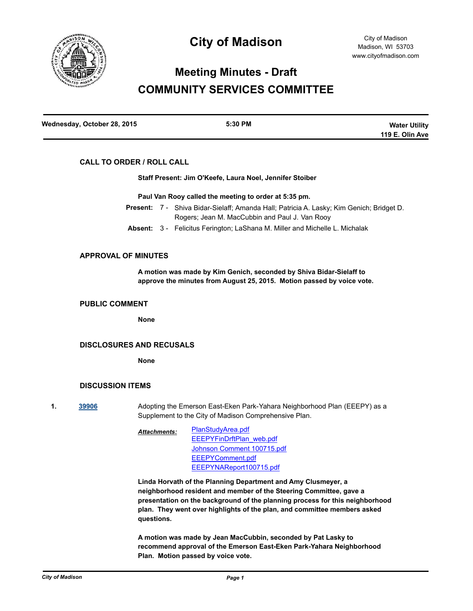

# **City of Madison**

# **Meeting Minutes - Draft COMMUNITY SERVICES COMMITTEE**

| Wednesday, October 28, 2015 | 5:30 PM | <b>Water Utility</b> |
|-----------------------------|---------|----------------------|
|                             |         | 119 E. Olin Ave      |

## **CALL TO ORDER / ROLL CALL**

**Staff Present: Jim O'Keefe, Laura Noel, Jennifer Stoiber**

**Paul Van Rooy called the meeting to order at 5:35 pm.**

- Present: 7 Shiva Bidar-Sielaff; Amanda Hall; Patricia A. Lasky; Kim Genich; Bridget D. Rogers; Jean M. MacCubbin and Paul J. Van Rooy
- **Absent:** 3 Felicitus Ferington; LaShana M. Miller and Michelle L. Michalak

# **APPROVAL OF MINUTES**

**A motion was made by Kim Genich, seconded by Shiva Bidar-Sielaff to approve the minutes from August 25, 2015. Motion passed by voice vote.**

#### **PUBLIC COMMENT**

**None**

### **DISCLOSURES AND RECUSALS**

**None**

## **DISCUSSION ITEMS**

**1. [39906](http://madison.legistar.com/gateway.aspx?m=l&id=/matter.aspx?key=43453)** Adopting the Emerson East-Eken Park-Yahara Neighborhood Plan (EEEPY) as a Supplement to the City of Madison Comprehensive Plan.

> [PlanStudyArea.pdf](http://madison.legistar.com/gateway.aspx?M=F&ID=e4cb64c4-ec2e-4ac7-b5f5-40a912c77837.pdf) [EEEPYFinDrftPlan\\_web.pdf](http://madison.legistar.com/gateway.aspx?M=F&ID=4ce82bb2-e23c-4c09-8234-54bc78b07550.pdf) [Johnson Comment 100715.pdf](http://madison.legistar.com/gateway.aspx?M=F&ID=769acbcd-ca2b-43e0-95e4-36856ce5f8b9.pdf) [EEEPYComment.pdf](http://madison.legistar.com/gateway.aspx?M=F&ID=156de21b-1d77-4158-b4dc-1d7fdb082dbb.pdf) [EEEPYNAReport100715.pdf](http://madison.legistar.com/gateway.aspx?M=F&ID=9d266579-75cd-4fe6-9a5a-7803acd9eaa9.pdf) *Attachments:*

**Linda Horvath of the Planning Department and Amy Clusmeyer, a neighborhood resident and member of the Steering Committee, gave a presentation on the background of the planning process for this neighborhood plan. They went over highlights of the plan, and committee members asked questions.**

**A motion was made by Jean MacCubbin, seconded by Pat Lasky to recommend approval of the Emerson East-Eken Park-Yahara Neighborhood Plan. Motion passed by voice vote.**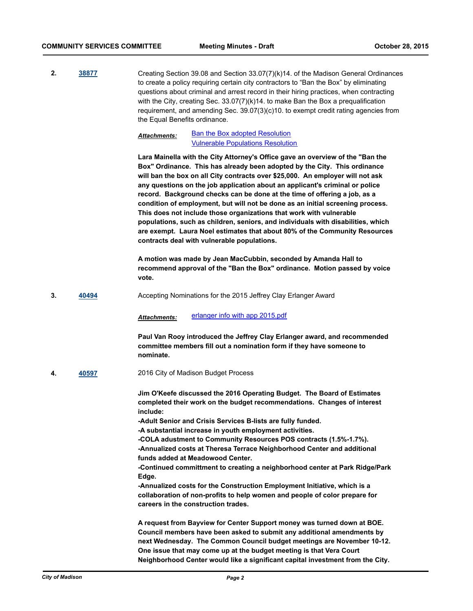**2. [38877](http://madison.legistar.com/gateway.aspx?m=l&id=/matter.aspx?key=41511)** Creating Section 39.08 and Section 33.07(7)(k)14. of the Madison General Ordinances to create a policy requiring certain city contractors to "Ban the Box" by eliminating questions about criminal and arrest record in their hiring practices, when contracting with the City, creating Sec. 33.07(7)(k)14. to make Ban the Box a prequalification requirement, and amending Sec. 39.07(3)(c)10. to exempt credit rating agencies from the Equal Benefits ordinance.

#### [Ban the Box adopted Resolution](http://madison.legistar.com/gateway.aspx?M=F&ID=05228230-17e4-4cf0-b37d-86b9bfb9f040.pdf) [Vulnerable Populations Resolution](http://madison.legistar.com/gateway.aspx?M=F&ID=ecba0260-4cca-48bb-85c3-fd9169699a6a.pdf) *Attachments:*

**Lara Mainella with the City Attorney's Office gave an overview of the "Ban the Box" Ordinance. This has already been adopted by the City. This ordinance will ban the box on all City contracts over \$25,000. An employer will not ask any questions on the job application about an applicant's criminal or police record. Background checks can be done at the time of offering a job, as a condition of employment, but will not be done as an initial screening process. This does not include those organizations that work with vulnerable populations, such as children, seniors, and individuals with disabilities, which are exempt. Laura Noel estimates that about 80% of the Community Resources contracts deal with vulnerable populations.**

**A motion was made by Jean MacCubbin, seconded by Amanda Hall to recommend approval of the "Ban the Box" ordinance. Motion passed by voice vote.**

**3. [40494](http://madison.legistar.com/gateway.aspx?m=l&id=/matter.aspx?key=43989)** Accepting Nominations for the 2015 Jeffrey Clay Erlanger Award

*Attachments:* [erlanger info with app 2015.pdf](http://madison.legistar.com/gateway.aspx?M=F&ID=913f1dc3-e870-40ad-854a-87b3ec8018b9.pdf)

**Paul Van Rooy introduced the Jeffrey Clay Erlanger award, and recommended committee members fill out a nomination form if they have someone to nominate.**

**4. [40597](http://madison.legistar.com/gateway.aspx?m=l&id=/matter.aspx?key=44084)** 2016 City of Madison Budget Process

**Jim O'Keefe discussed the 2016 Operating Budget. The Board of Estimates completed their work on the budget recommendations. Changes of interest include:**

**-Adult Senior and Crisis Services B-lists are fully funded.**

**-A substantial increase in youth employment activities.**

**-COLA adustment to Community Resources POS contracts (1.5%-1.7%). -Annualized costs at Theresa Terrace Neighborhood Center and additional funds added at Meadowood Center.**

**-Continued committment to creating a neighborhood center at Park Ridge/Park Edge.**

**-Annualized costs for the Construction Employment Initiative, which is a collaboration of non-profits to help women and people of color prepare for careers in the construction trades.**

**A request from Bayview for Center Support money was turned down at BOE. Council members have been asked to submit any additional amendments by next Wednesday. The Common Council budget meetings are November 10-12. One issue that may come up at the budget meeting is that Vera Court Neighborhood Center would like a significant capital investment from the City.**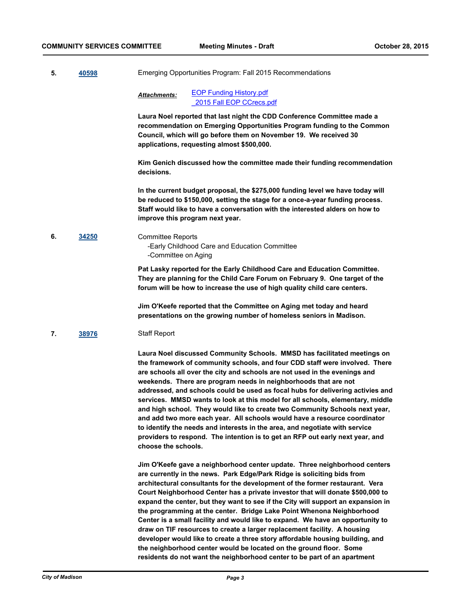**5. [40598](http://madison.legistar.com/gateway.aspx?m=l&id=/matter.aspx?key=44085)** Emerging Opportunities Program: Fall 2015 Recommendations

[EOP Funding History.pdf](http://madison.legistar.com/gateway.aspx?M=F&ID=b6b19401-beea-4609-a097-6dfa4a5c3123.pdf) [\\_2015 Fall EOP CCrecs.pdf](http://madison.legistar.com/gateway.aspx?M=F&ID=42074f6c-f77d-4294-bf4f-c315c8360a39.pdf) *Attachments:*

**Laura Noel reported that last night the CDD Conference Committee made a recommendation on Emerging Opportunities Program funding to the Common Council, which will go before them on November 19. We received 30 applications, requesting almost \$500,000.** 

**Kim Genich discussed how the committee made their funding recommendation decisions.**

**In the current budget proposal, the \$275,000 funding level we have today will be reduced to \$150,000, setting the stage for a once-a-year funding process. Staff would like to have a conversation with the interested alders on how to improve this program next year.**

**6. [34250](http://madison.legistar.com/gateway.aspx?m=l&id=/matter.aspx?key=37352)** Committee Reports -Early Childhood Care and Education Committee -Committee on Aging

> **Pat Lasky reported for the Early Childhood Care and Education Committee. They are planning for the Child Care Forum on February 9. One target of the forum will be how to increase the use of high quality child care centers.**

**Jim O'Keefe reported that the Committee on Aging met today and heard presentations on the growing number of homeless seniors in Madison.**

**7. [38976](http://madison.legistar.com/gateway.aspx?m=l&id=/matter.aspx?key=41587)** Staff Report

**Laura Noel discussed Community Schools. MMSD has facilitated meetings on the framework of community schools, and four CDD staff were involved. There are schools all over the city and schools are not used in the evenings and weekends. There are program needs in neighborhoods that are not addressed, and schools could be used as focal hubs for delivering activies and services. MMSD wants to look at this model for all schools, elementary, middle and high school. They would like to create two Community Schools next year, and add two more each year. All schools would have a resource coordinator to identify the needs and interests in the area, and negotiate with service providers to respond. The intention is to get an RFP out early next year, and choose the schools.**

**Jim O'Keefe gave a neighborhood center update. Three neighborhood centers are currently in the news. Park Edge/Park Ridge is soliciting bids from architectural consultants for the development of the former restaurant. Vera Court Neighborhood Center has a private investor that will donate \$500,000 to expand the center, but they want to see if the City will support an expansion in the programming at the center. Bridge Lake Point Whenona Neighborhood Center is a small facility and would like to expand. We have an opportunity to draw on TIF resources to create a larger replacement facility. A housing developer would like to create a three story affordable housing building, and the neighborhood center would be located on the ground floor. Some residents do not want the neighborhood center to be part of an apartment**